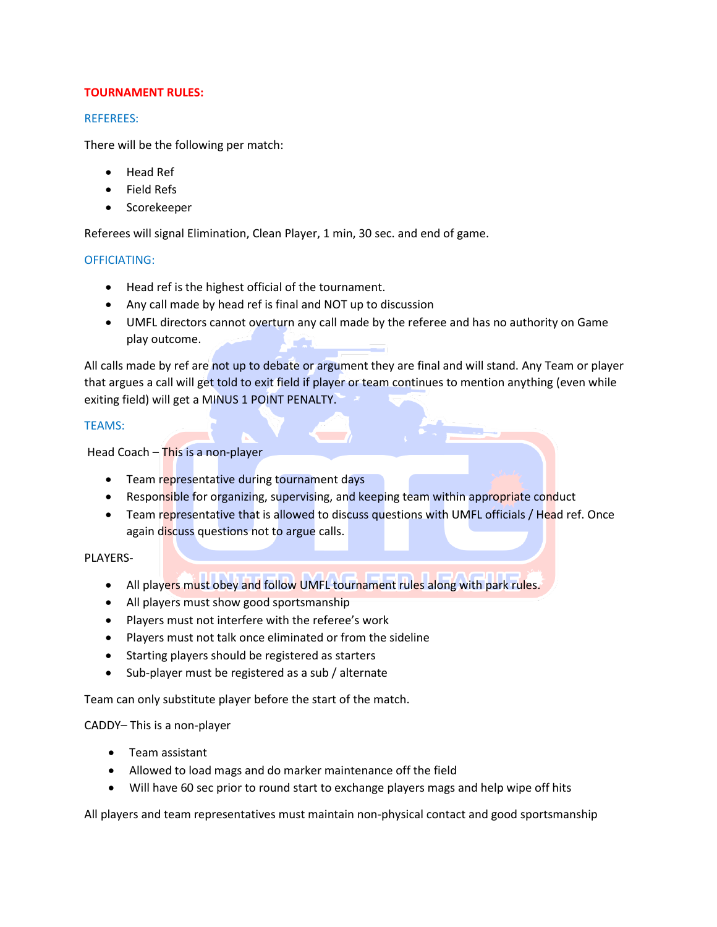# **TOURNAMENT RULES:**

# REFEREES:

There will be the following per match:

- Head Ref
- Field Refs
- Scorekeeper

Referees will signal Elimination, Clean Player, 1 min, 30 sec. and end of game.

# OFFICIATING:

- Head ref is the highest official of the tournament.
- Any call made by head ref is final and NOT up to discussion
- UMFL directors cannot overturn any call made by the referee and has no authority on Game play outcome.

All calls made by ref are not up to debate or argument they are final and will stand. Any Team or player that argues a call will get told to exit field if player or team continues to mention anything (even while exiting field) will get a MINUS 1 POINT PENALTY.

# TEAMS:

Head Coach – This is a non-player

- Team representative during tournament days
- Responsible for organizing, supervising, and keeping team within appropriate conduct

 $\longleftrightarrow$ 

• Team representative that is allowed to discuss questions with UMFL officials / Head ref. Once again discuss questions not to argue calls.

PLAYERS-

- All players must obey and follow UMFL tournament rules along with park rules.
- All players must show good sportsmanship
- Players must not interfere with the referee's work
- Players must not talk once eliminated or from the sideline
- Starting players should be registered as starters
- Sub-player must be registered as a sub / alternate

Team can only substitute player before the start of the match.

## CADDY– This is a non-player

- Team assistant
- Allowed to load mags and do marker maintenance off the field
- Will have 60 sec prior to round start to exchange players mags and help wipe off hits

All players and team representatives must maintain non-physical contact and good sportsmanship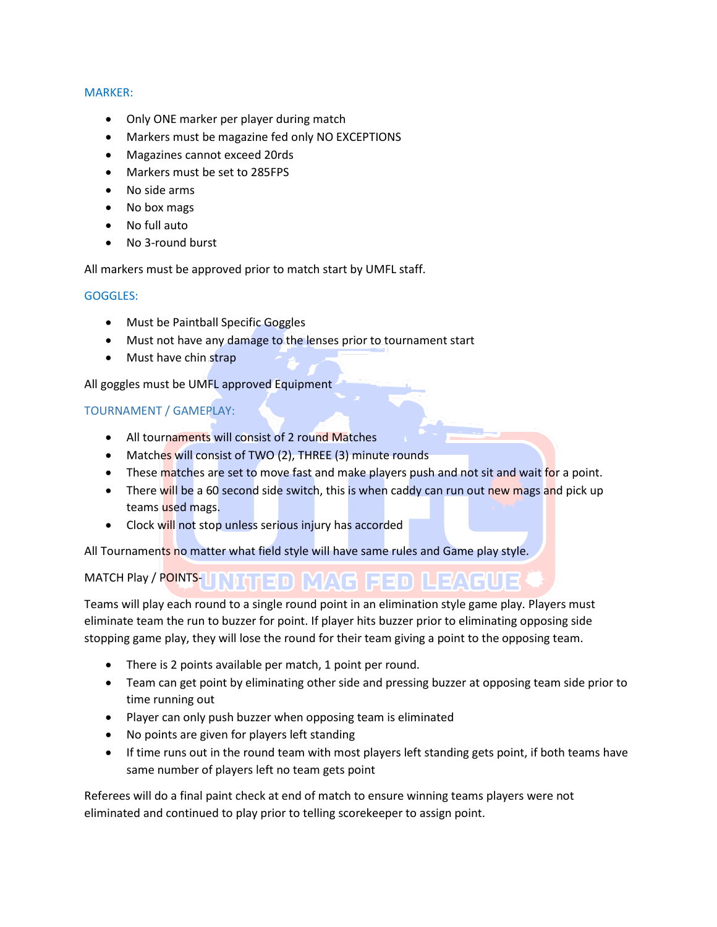### MARKER:

- Only ONE marker per player during match
- Markers must be magazine fed only NO EXCEPTIONS
- Magazines cannot exceed 20rds
- Markers must be set to 285FPS
- No side arms
- No box mags
- No full auto
- No 3-round burst

All markers must be approved prior to match start by UMFL staff.

## GOGGLES:

- Must be Paintball Specific Goggles
- Must not have any damage to the lenses prior to tournament start
- Must have chin strap

All goggles must be UMFL approved Equipment

# TOURNAMENT / GAMEPLAY:

- All tournaments will consist of 2 round Matches
- Matches will consist of TWO (2), THREE (3) minute rounds
- These matches are set to move fast and make players push and not sit and wait for a point.
- There will be a 60 second side switch, this is when caddy can run out new mags and pick up teams used mags.
- Clock will not stop unless serious injury has accorded

All Tournaments no matter what field style will have same rules and Game play style.

#### MATCH Play / POINTS-\D{THP}}}Y}\F\}P}P}}}

Teams will play each round to a single round point in an elimination style game play. Players must eliminate team the run to buzzer for point. If player hits buzzer prior to eliminating opposing side stopping game play, they will lose the round for their team giving a point to the opposing team.

- There is 2 points available per match, 1 point per round.
- Team can get point by eliminating other side and pressing buzzer at opposing team side prior to time running out
- Player can only push buzzer when opposing team is eliminated
- No points are given for players left standing
- If time runs out in the round team with most players left standing gets point, if both teams have same number of players left no team gets point

Referees will do a final paint check at end of match to ensure winning teams players were not eliminated and continued to play prior to telling scorekeeper to assign point.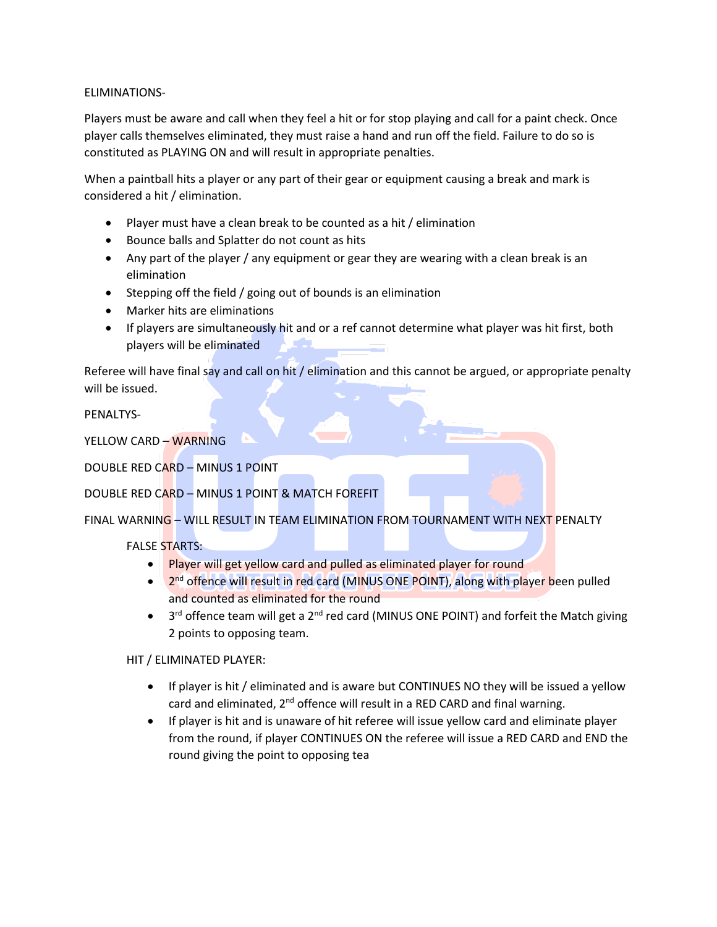## ELIMINATIONS-

Players must be aware and call when they feel a hit or for stop playing and call for a paint check. Once player calls themselves eliminated, they must raise a hand and run off the field. Failure to do so is constituted as PLAYING ON and will result in appropriate penalties.

When a paintball hits a player or any part of their gear or equipment causing a break and mark is considered a hit / elimination.

- Player must have a clean break to be counted as a hit / elimination
- Bounce balls and Splatter do not count as hits
- Any part of the player / any equipment or gear they are wearing with a clean break is an elimination
- Stepping off the field / going out of bounds is an elimination
- Marker hits are eliminations
- If players are simultaneously hit and or a ref cannot determine what player was hit first, both players will be eliminated

Referee will have final say and call on hit / elimination and this cannot be argued, or appropriate penalty will be issued.

PENALTYS-

YELLOW CARD – WARNING

DOUBLE RED CARD – MINUS 1 POINT

DOUBLE RED CARD – MINUS 1 POINT & MATCH FOREFIT

FINAL WARNING – WILL RESULT IN TEAM ELIMINATION FROM TOURNAMENT WITH NEXT PENALTY

FALSE STARTS:

- Player will get yellow card and pulled as eliminated player for round
- 2<sup>nd</sup> offence will result in red card (MINUS ONE POINT), along with player been pulled and counted as eliminated for the round
- $\bullet$  3<sup>rd</sup> offence team will get a 2<sup>nd</sup> red card (MINUS ONE POINT) and forfeit the Match giving 2 points to opposing team.

HIT / ELIMINATED PLAYER:

- If player is hit / eliminated and is aware but CONTINUES NO they will be issued a yellow card and eliminated, 2<sup>nd</sup> offence will result in a RED CARD and final warning.
- If player is hit and is unaware of hit referee will issue yellow card and eliminate player from the round, if player CONTINUES ON the referee will issue a RED CARD and END the round giving the point to opposing tea